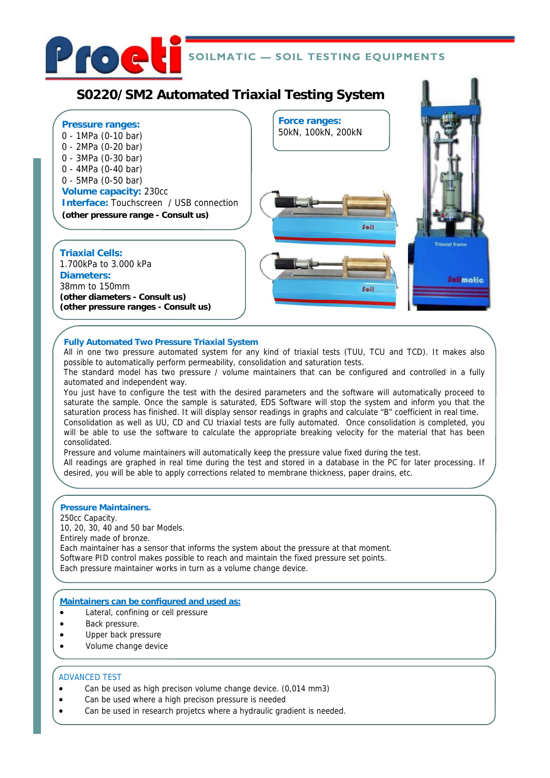

## **SOILMATIC — SOIL TESTING EQUIPMENTS**

# **S0220/SM2 Automated Triaxial Testing System**



### **Fully Automated Two Pressure Triaxial System**

All in one two pressure automated system for any kind of triaxial tests (TUU, TCU and TCD). It makes also possible to automatically perform permeability, consolidation and saturation tests.

The standard model has two pressure / volume maintainers that can be configured and controlled in a fully automated and independent way.

You just have to configure the test with the desired parameters and the software will automatically proceed to saturate the sample. Once the sample is saturated, EDS Software will stop the system and inform you that the saturation process has finished. It will display sensor readings in graphs and calculate "B" coefficient in real time. Consolidation as well as UU, CD and CU triaxial tests are fully automated. Once consolidation is completed, you will be able to use the software to calculate the appropriate breaking velocity for the material that has been consolidated.

Pressure and volume maintainers will automatically keep the pressure value fixed during the test.

All readings are graphed in real time during the test and stored in a database in the PC for later processing. If desired, you will be able to apply corrections related to membrane thickness, paper drains, etc.

### **Pressure Maintainers.**

250cc Capacity.

10, 20, 30, 40 and 50 bar Models. Entirely made of bronze. Each maintainer has a sensor that informs the system about the pressure at that moment. Software PID control makes possible to reach and maintain the fixed pressure set points. Each pressure maintainer works in turn as a volume change device.

### **Maintainers can be configured and used as:**

Lateral, confining or cell pressure

- Back pressure.
- Upper back pressure
- Volume change device

### ADVANCED TEST

- Can be used as high precison volume change device. (0,014 mm3)
- Can be used where a high precison pressure is needed
- Can be used in research projetcs where a hydraulic gradient is needed.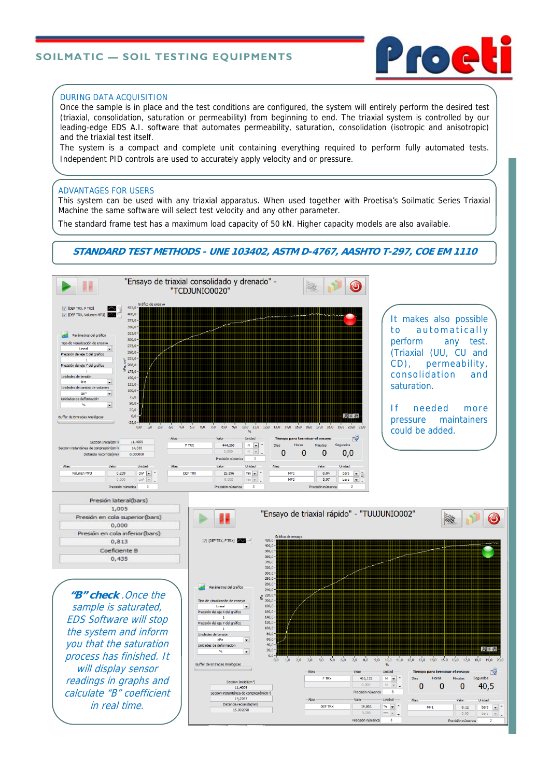### **SOILMATIC — SOIL TESTING EQUIPMENTS**



#### DURING DATA ACQUISITION

Once the sample is in place and the test conditions are configured, the system will entirely perform the desired test (triaxial, consolidation, saturation or permeability) from beginning to end. The triaxial system is controlled by our leading-edge EDS A.I. software that automates permeability, saturation, consolidation (isotropic and anisotropic) and the triaxial test itself.

The system is a compact and complete unit containing everything required to perform fully automated tests. Independent PID controls are used to accurately apply velocity and or pressure.

#### ADVANTAGES FOR USERS

This system can be used with any triaxial apparatus. When used together with Proetisa's Soilmatic Series Triaxial Machine the same software will select test velocity and any other parameter.

The standard frame test has a maximum load capacity of 50 kN. Higher capacity models are also available.

### **STANDARD TEST METHODS - UNE 103402, ASTM D-4767, AASHTO T-297, COE EM 1110**